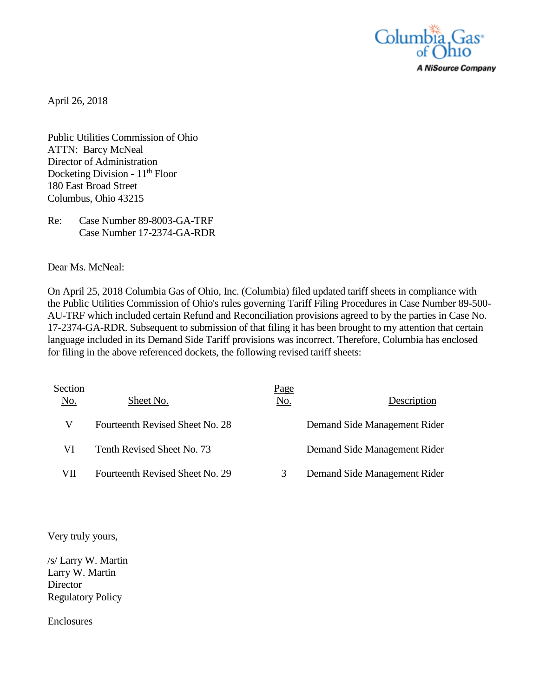

April 26, 2018

Public Utilities Commission of Ohio ATTN: Barcy McNeal Director of Administration Docketing Division -  $11<sup>th</sup>$  Floor 180 East Broad Street Columbus, Ohio 43215

Re: Case Number 89-8003-GA-TRF Case Number 17-2374-GA-RDR

Dear Ms. McNeal:

On April 25, 2018 Columbia Gas of Ohio, Inc. (Columbia) filed updated tariff sheets in compliance with the Public Utilities Commission of Ohio's rules governing Tariff Filing Procedures in Case Number 89-500- AU-TRF which included certain Refund and Reconciliation provisions agreed to by the parties in Case No. 17-2374-GA-RDR. Subsequent to submission of that filing it has been brought to my attention that certain language included in its Demand Side Tariff provisions was incorrect. Therefore, Columbia has enclosed for filing in the above referenced dockets, the following revised tariff sheets:

| Section<br>No. | Sheet No.                       | <u>Page</u><br>No. | Description                  |
|----------------|---------------------------------|--------------------|------------------------------|
| V              | Fourteenth Revised Sheet No. 28 |                    | Demand Side Management Rider |
| VI             | Tenth Revised Sheet No. 73      |                    | Demand Side Management Rider |
| VII            | Fourteenth Revised Sheet No. 29 |                    | Demand Side Management Rider |

Very truly yours,

/s/ Larry W. Martin Larry W. Martin **Director** Regulatory Policy

Enclosures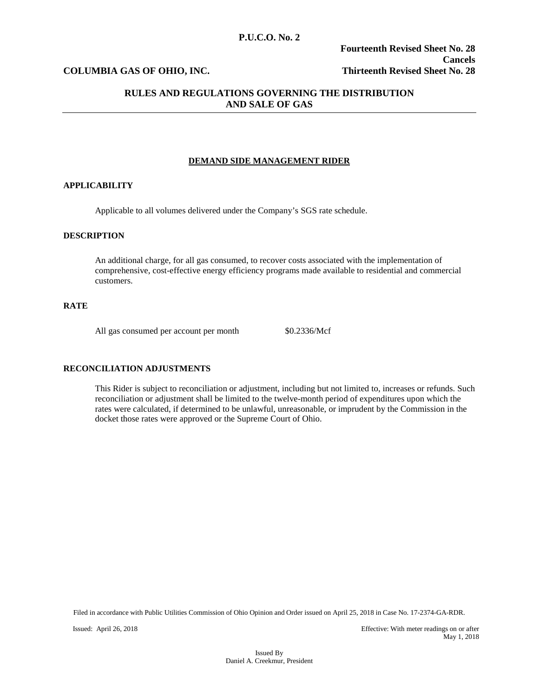## **COLUMBIA GAS OF OHIO, INC. Thirteenth Revised Sheet No. 28**

## **RULES AND REGULATIONS GOVERNING THE DISTRIBUTION AND SALE OF GAS**

#### **DEMAND SIDE MANAGEMENT RIDER**

#### **APPLICABILITY**

Applicable to all volumes delivered under the Company's SGS rate schedule.

#### **DESCRIPTION**

An additional charge, for all gas consumed, to recover costs associated with the implementation of comprehensive, cost-effective energy efficiency programs made available to residential and commercial customers.

## **RATE**

All gas consumed per account per month  $$0.2336/Mcf$ 

## **RECONCILIATION ADJUSTMENTS**

This Rider is subject to reconciliation or adjustment, including but not limited to, increases or refunds. Such reconciliation or adjustment shall be limited to the twelve-month period of expenditures upon which the rates were calculated, if determined to be unlawful, unreasonable, or imprudent by the Commission in the docket those rates were approved or the Supreme Court of Ohio.

Filed in accordance with Public Utilities Commission of Ohio Opinion and Order issued on April 25, 2018 in Case No. 17-2374-GA-RDR.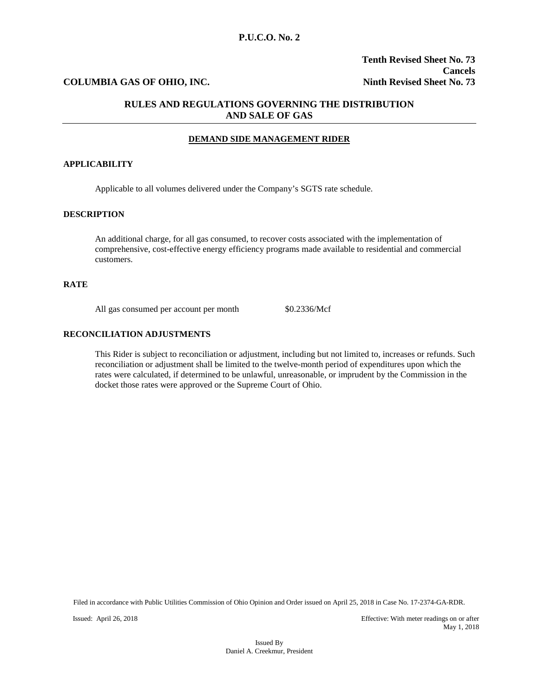## **P.U.C.O. No. 2**

## **COLUMBIA GAS OF OHIO, INC. Ninth Revised Sheet No. 73**

## **RULES AND REGULATIONS GOVERNING THE DISTRIBUTION AND SALE OF GAS**

#### **DEMAND SIDE MANAGEMENT RIDER**

#### **APPLICABILITY**

Applicable to all volumes delivered under the Company's SGTS rate schedule.

#### **DESCRIPTION**

An additional charge, for all gas consumed, to recover costs associated with the implementation of comprehensive, cost-effective energy efficiency programs made available to residential and commercial customers.

#### **RATE**

All gas consumed per account per month \$0.2336/Mcf

### **RECONCILIATION ADJUSTMENTS**

This Rider is subject to reconciliation or adjustment, including but not limited to, increases or refunds. Such reconciliation or adjustment shall be limited to the twelve-month period of expenditures upon which the rates were calculated, if determined to be unlawful, unreasonable, or imprudent by the Commission in the docket those rates were approved or the Supreme Court of Ohio.

Filed in accordance with Public Utilities Commission of Ohio Opinion and Order issued on April 25, 2018 in Case No. 17-2374-GA-RDR.

Issued: April 26, 2018 Effective: With meter readings on or after May 1, 2018

> Issued By Daniel A. Creekmur, President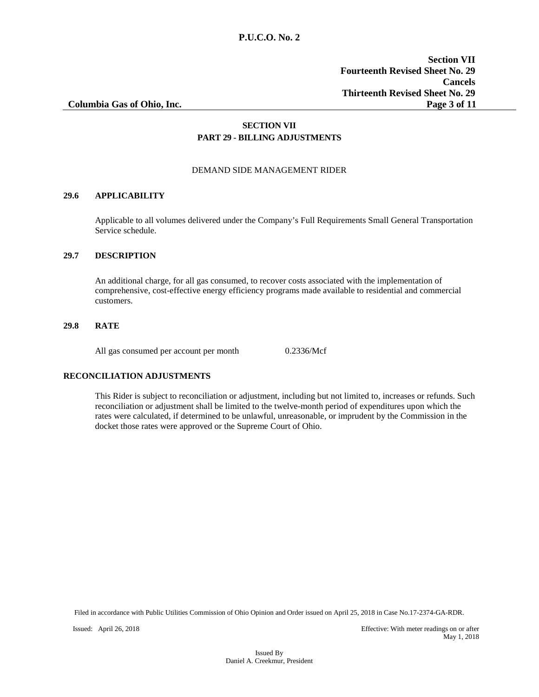## **SECTION VII PART 29 - BILLING ADJUSTMENTS**

## DEMAND SIDE MANAGEMENT RIDER

## **29.6 APPLICABILITY**

Applicable to all volumes delivered under the Company's Full Requirements Small General Transportation Service schedule.

#### **29.7 DESCRIPTION**

An additional charge, for all gas consumed, to recover costs associated with the implementation of comprehensive, cost-effective energy efficiency programs made available to residential and commercial customers.

### **29.8 RATE**

All gas consumed per account per month 0.2336/Mcf

## **RECONCILIATION ADJUSTMENTS**

This Rider is subject to reconciliation or adjustment, including but not limited to, increases or refunds. Such reconciliation or adjustment shall be limited to the twelve-month period of expenditures upon which the rates were calculated, if determined to be unlawful, unreasonable, or imprudent by the Commission in the docket those rates were approved or the Supreme Court of Ohio.

Filed in accordance with Public Utilities Commission of Ohio Opinion and Order issued on April 25, 2018 in Case No.17-2374-GA-RDR.